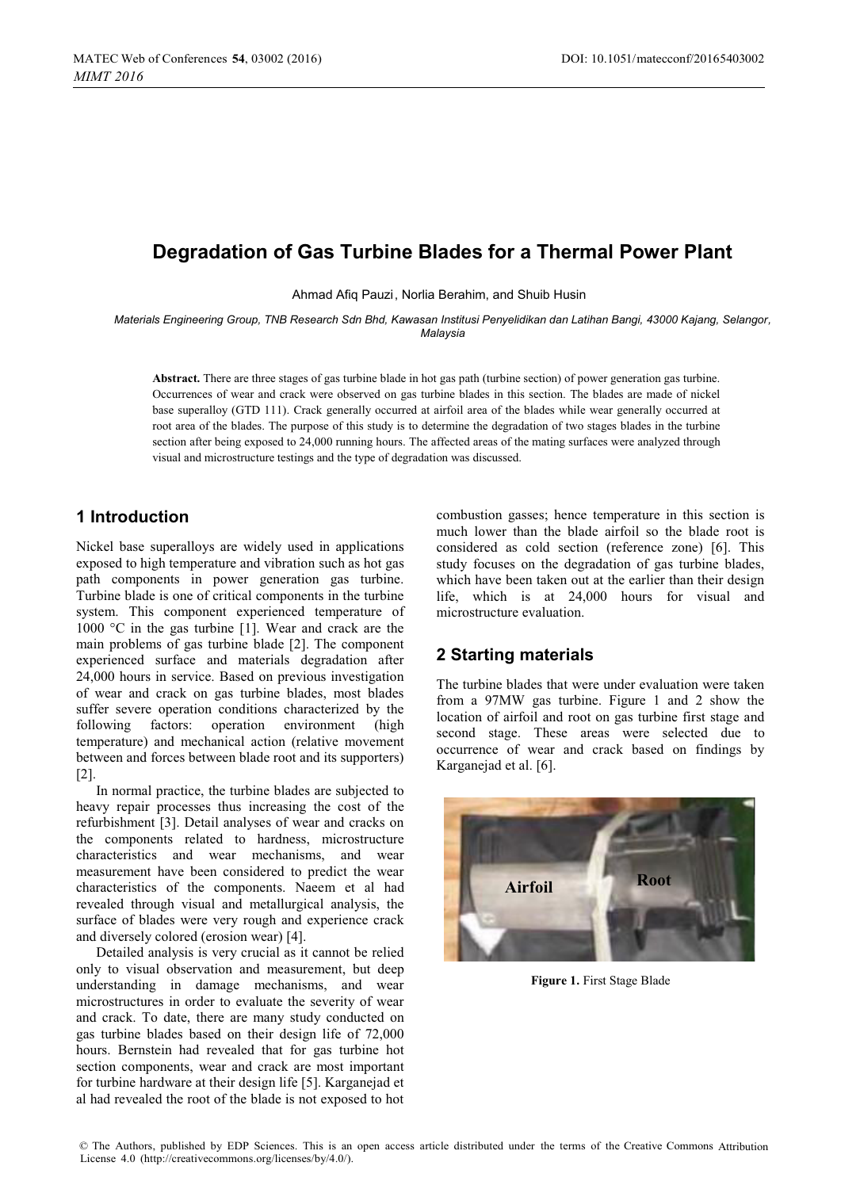# **Degradation of Gas Turbine Blades for a Thermal Power Plant**

Ahmad Afiq Pauzi , Norlia Berahim, and Shuib Husin

*Materials Engineering Group, TNB Research Sdn Bhd, Kawasan Institusi Penyelidikan dan Latihan Bangi, 43000 Kajang, Selangor, Malaysia* 

**Abstract.** There are three stages of gas turbine blade in hot gas path (turbine section) of power generation gas turbine. Occurrences of wear and crack were observed on gas turbine blades in this section. The blades are made of nickel base superalloy (GTD 111). Crack generally occurred at airfoil area of the blades while wear generally occurred at root area of the blades. The purpose of this study is to determine the degradation of two stages blades in the turbine section after being exposed to 24,000 running hours. The affected areas of the mating surfaces were analyzed through visual and microstructure testings and the type of degradation was discussed.

### **1 Introduction**

Nickel base superalloys are widely used in applications exposed to high temperature and vibration such as hot gas path components in power generation gas turbine. Turbine blade is one of critical components in the turbine system. This component experienced temperature of 1000 °C in the gas turbine [1]. Wear and crack are the main problems of gas turbine blade [2]. The component experienced surface and materials degradation after 24,000 hours in service. Based on previous investigation of wear and crack on gas turbine blades, most blades suffer severe operation conditions characterized by the following factors: operation environment (high temperature) and mechanical action (relative movement between and forces between blade root and its supporters)  $[2]$ .

In normal practice, the turbine blades are subjected to heavy repair processes thus increasing the cost of the refurbishment [3]. Detail analyses of wear and cracks on the components related to hardness, microstructure characteristics and wear mechanisms, and wear measurement have been considered to predict the wear characteristics of the components. Naeem et al had revealed through visual and metallurgical analysis, the surface of blades were very rough and experience crack and diversely colored (erosion wear) [4].

Detailed analysis is very crucial as it cannot be relied only to visual observation and measurement, but deep understanding in damage mechanisms, and wear microstructures in order to evaluate the severity of wear and crack. To date, there are many study conducted on gas turbine blades based on their design life of 72,000 hours. Bernstein had revealed that for gas turbine hot section components, wear and crack are most important for turbine hardware at their design life [5]. Karganejad et al had revealed the root of the blade is not exposed to hot

combustion gasses; hence temperature in this section is much lower than the blade airfoil so the blade root is considered as cold section (reference zone) [6]. This study focuses on the degradation of gas turbine blades, which have been taken out at the earlier than their design life, which is at 24,000 hours for visual and microstructure evaluation.

## **2 Starting materials**

The turbine blades that were under evaluation were taken from a 97MW gas turbine. Figure 1 and 2 show the location of airfoil and root on gas turbine first stage and second stage. These areas were selected due to occurrence of wear and crack based on findings by Karganejad et al. [6].



**Figure 1.** First Stage Blade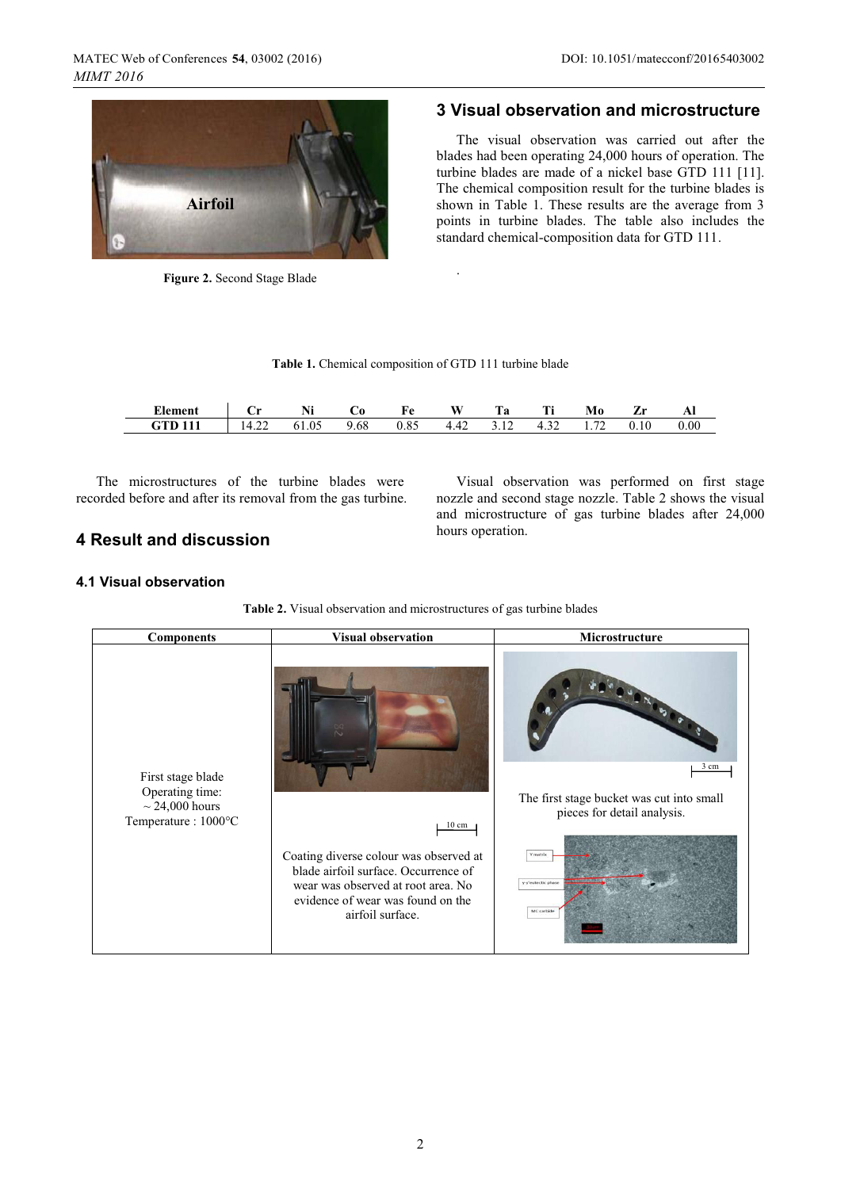

**Figure 2.** Second Stage Blade

### **3 Visual observation and microstructure**

The visual observation was carried out after the blades had been operating 24,000 hours of operation. The turbine blades are made of a nickel base GTD 111 [11]. The chemical composition result for the turbine blades is shown in Table 1. These results are the average from 3 points in turbine blades. The table also includes the standard chemical-composition data for GTD 111.

Visual observation was performed on first stage nozzle and second stage nozzle. Table 2 shows the visual and microstructure of gas turbine blades after 24,000

| Table 1. Chemical composition of GTD 111 turbine blade |  |
|--------------------------------------------------------|--|
|--------------------------------------------------------|--|

.

| Element | ۰.,<br>ິ | N:<br>141 | UΟ   | Fe   | W    | Гa | m.<br>. .            | Mo          | -    | л    |
|---------|----------|-----------|------|------|------|----|----------------------|-------------|------|------|
|         | −…       | 61.05     | 9.68 | 0.85 | 4.42 | ے  | $4.3^\circ$<br>ے ر.+ | $7^{\circ}$ | 0.10 | 0.00 |

The microstructures of the turbine blades were recorded before and after its removal from the gas turbine.

### **4 Result and discussion**

hours operation.

#### **4.1 Visual observation**

**Table 2.** Visual observation and microstructures of gas turbine blades

| <b>Components</b>                                                                  | <b>Visual observation</b>                                                                                                                                                                        | Microstructure                                                                                                                   |
|------------------------------------------------------------------------------------|--------------------------------------------------------------------------------------------------------------------------------------------------------------------------------------------------|----------------------------------------------------------------------------------------------------------------------------------|
| First stage blade<br>Operating time:<br>$\sim$ 24,000 hours<br>Temperature: 1000°C | $10 \text{ cm}$<br>Coating diverse colour was observed at<br>blade airfoil surface. Occurrence of<br>wear was observed at root area. No<br>evidence of wear was found on the<br>airfoil surface. | 3 cm<br>The first stage bucket was cut into small<br>pieces for detail analysis.<br>Y matrix<br>y-y'eutectic phase<br>MC carbide |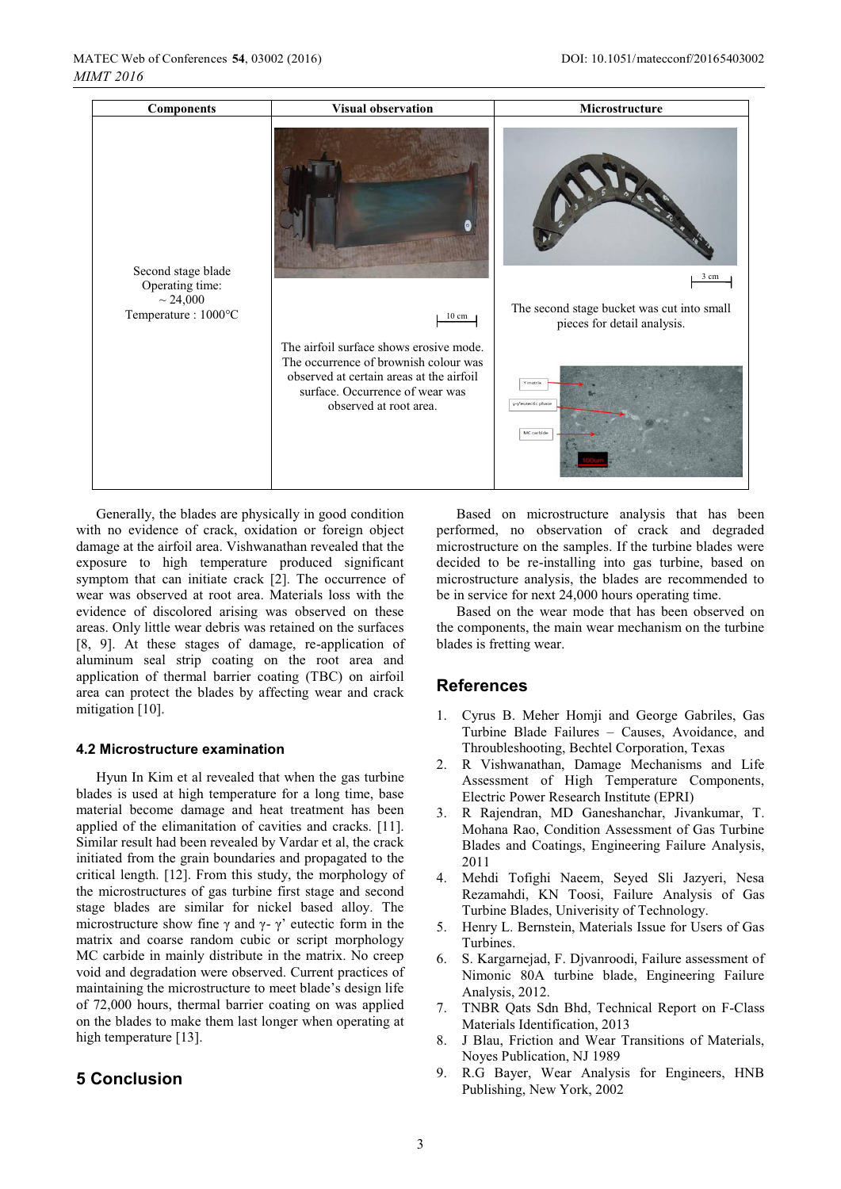| <b>Components</b>                                                             | <b>Visual observation</b>                                                                                                                                                                 | Microstructure                                                            |
|-------------------------------------------------------------------------------|-------------------------------------------------------------------------------------------------------------------------------------------------------------------------------------------|---------------------------------------------------------------------------|
| Second stage blade<br>Operating time:<br>$\sim 24,000$<br>Temperature: 1000°C | $\theta$                                                                                                                                                                                  | $3 \text{ cm}$                                                            |
|                                                                               | $10 \; \mathrm{cm}$                                                                                                                                                                       | The second stage bucket was cut into small<br>pieces for detail analysis. |
|                                                                               | The airfoil surface shows erosive mode.<br>The occurrence of brownish colour was<br>observed at certain areas at the airfoil<br>surface. Occurrence of wear was<br>observed at root area. | Y matrix<br>y-y'eutectic phase<br>MC carbide                              |

Generally, the blades are physically in good condition with no evidence of crack, oxidation or foreign object damage at the airfoil area. Vishwanathan revealed that the exposure to high temperature produced significant symptom that can initiate crack [2]. The occurrence of wear was observed at root area. Materials loss with the evidence of discolored arising was observed on these areas. Only little wear debris was retained on the surfaces [8, 9]. At these stages of damage, re-application of aluminum seal strip coating on the root area and application of thermal barrier coating (TBC) on airfoil area can protect the blades by affecting wear and crack mitigation [10].

#### **4.2 Microstructure examination**

Hyun In Kim et al revealed that when the gas turbine blades is used at high temperature for a long time, base material become damage and heat treatment has been applied of the elimanitation of cavities and cracks. [11]. Similar result had been revealed by Vardar et al, the crack initiated from the grain boundaries and propagated to the critical length. [12]. From this study, the morphology of the microstructures of gas turbine first stage and second stage blades are similar for nickel based alloy. The microstructure show fine  $\gamma$  and  $\gamma$ -  $\gamma'$  eutectic form in the matrix and coarse random cubic or script morphology MC carbide in mainly distribute in the matrix. No creep void and degradation were observed. Current practices of maintaining the microstructure to meet blade's design life of 72,000 hours, thermal barrier coating on was applied on the blades to make them last longer when operating at high temperature [13].

#### **5 Conclusion**

Based on microstructure analysis that has been performed, no observation of crack and degraded microstructure on the samples. If the turbine blades were decided to be re-installing into gas turbine, based on microstructure analysis, the blades are recommended to be in service for next 24,000 hours operating time.

Based on the wear mode that has been observed on the components, the main wear mechanism on the turbine blades is fretting wear.

#### **References**

- 1. Cyrus B. Meher Homji and George Gabriles, Gas Turbine Blade Failures – Causes, Avoidance, and Throubleshooting, Bechtel Corporation, Texas
- 2. R Vishwanathan, Damage Mechanisms and Life Assessment of High Temperature Components, Electric Power Research Institute (EPRI)
- 3. R Rajendran, MD Ganeshanchar, Jivankumar, T. Mohana Rao, Condition Assessment of Gas Turbine Blades and Coatings, Engineering Failure Analysis, 2011
- 4. Mehdi Tofighi Naeem, Seyed Sli Jazyeri, Nesa Rezamahdi, KN Toosi, Failure Analysis of Gas Turbine Blades, Univerisity of Technology.
- 5. Henry L. Bernstein, Materials Issue for Users of Gas Turbines.
- 6. S. Kargarnejad, F. Djvanroodi, Failure assessment of Nimonic 80A turbine blade, Engineering Failure Analysis, 2012.
- 7. TNBR Qats Sdn Bhd, Technical Report on F-Class Materials Identification, 2013
- 8. J Blau, Friction and Wear Transitions of Materials, Noyes Publication, NJ 1989
- 9. R.G Bayer, Wear Analysis for Engineers, HNB Publishing, New York, 2002